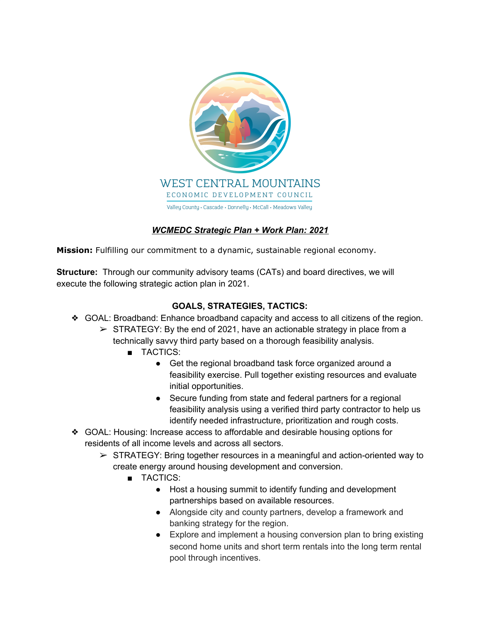

## *WCMEDC Strategic Plan + Work Plan: 2021*

**Mission:** Fulfilling our commitment to a dynamic, sustainable regional economy.

**Structure:** Through our community advisory teams (CATs) and board directives, we will execute the following strategic action plan in 2021.

## **GOALS, STRATEGIES, TACTICS:**

- ❖ GOAL: Broadband: Enhance broadband capacity and access to all citizens of the region.
	- $\triangleright$  STRATEGY: By the end of 2021, have an actionable strategy in place from a technically savvy third party based on a thorough feasibility analysis.
		- TACTICS:
			- Get the regional broadband task force organized around a feasibility exercise. Pull together existing resources and evaluate initial opportunities.
			- Secure funding from state and federal partners for a regional feasibility analysis using a verified third party contractor to help us identify needed infrastructure, prioritization and rough costs.
- ❖ GOAL: Housing: Increase access to affordable and desirable housing options for residents of all income levels and across all sectors.
	- $\triangleright$  STRATEGY: Bring together resources in a meaningful and action-oriented way to create energy around housing development and conversion.
		- TACTICS:
			- Host a housing summit to identify funding and development partnerships based on available resources.
			- Alongside city and county partners, develop a framework and banking strategy for the region.
			- Explore and implement a housing conversion plan to bring existing second home units and short term rentals into the long term rental pool through incentives.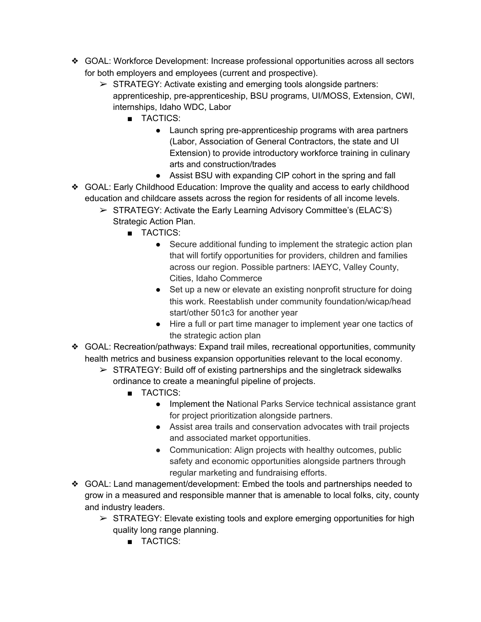- ❖ GOAL: Workforce Development: Increase professional opportunities across all sectors for both employers and employees (current and prospective).
	- $\triangleright$  STRATEGY: Activate existing and emerging tools alongside partners: apprenticeship, pre-apprenticeship, BSU programs, UI/MOSS, Extension, CWI, internships, Idaho WDC, Labor
		- TACTICS:
			- Launch spring pre-apprenticeship programs with area partners (Labor, Association of General Contractors, the state and UI Extension) to provide introductory workforce training in culinary arts and construction/trades
			- Assist BSU with expanding CIP cohort in the spring and fall
- ❖ GOAL: Early Childhood Education: Improve the quality and access to early childhood education and childcare assets across the region for residents of all income levels.
	- $\triangleright$  STRATEGY: Activate the Early Learning Advisory Committee's (ELAC'S) Strategic Action Plan.
		- TACTICS:
			- Secure additional funding to implement the strategic action plan that will fortify opportunities for providers, children and families across our region. Possible partners: IAEYC, Valley County, Cities, Idaho Commerce
			- Set up a new or elevate an existing nonprofit structure for doing this work. Reestablish under community foundation/wicap/head start/other 501c3 for another year
			- Hire a full or part time manager to implement year one tactics of the strategic action plan
- ❖ GOAL: Recreation/pathways: Expand trail miles, recreational opportunities, community health metrics and business expansion opportunities relevant to the local economy.
	- $\triangleright$  STRATEGY: Build off of existing partnerships and the singletrack sidewalks ordinance to create a meaningful pipeline of projects.
		- TACTICS:
			- Implement the National Parks Service technical assistance grant for project prioritization alongside partners.
			- Assist area trails and conservation advocates with trail projects and associated market opportunities.
			- Communication: Align projects with healthy outcomes, public safety and economic opportunities alongside partners through regular marketing and fundraising efforts.
- ❖ GOAL: Land management/development: Embed the tools and partnerships needed to grow in a measured and responsible manner that is amenable to local folks, city, county and industry leaders.
	- $\triangleright$  STRATEGY: Elevate existing tools and explore emerging opportunities for high quality long range planning.
		- TACTICS: